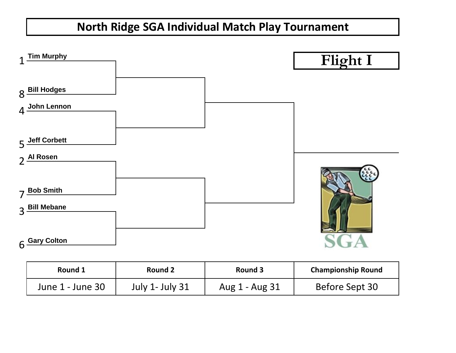

| Round 1          | Round 2                | Round 3        | <b>Championship Round</b> |
|------------------|------------------------|----------------|---------------------------|
| June 1 - June 30 | <b>July 1- July 31</b> | Aug 1 - Aug 31 | Before Sept 30            |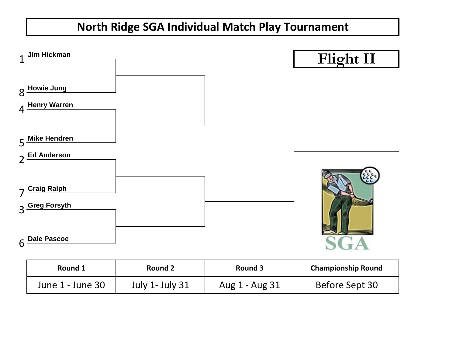

| Round 1          | Round 2         | Round 3        | <b>Championship Round</b> |
|------------------|-----------------|----------------|---------------------------|
| June 1 - June 30 | July 1- July 31 | Aug 1 - Aug 31 | Before Sept 30            |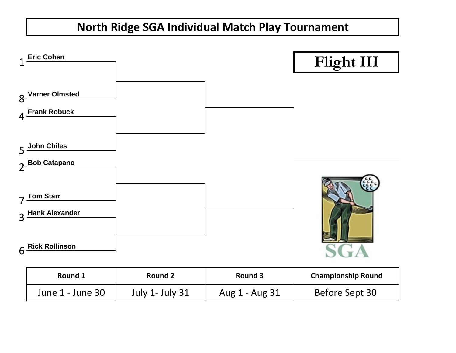

| Round 1          | Round 2                | Round 3        | <b>Championship Round</b> |
|------------------|------------------------|----------------|---------------------------|
| June 1 - June 30 | <b>July 1- July 31</b> | Aug 1 - Aug 31 | Before Sept 30            |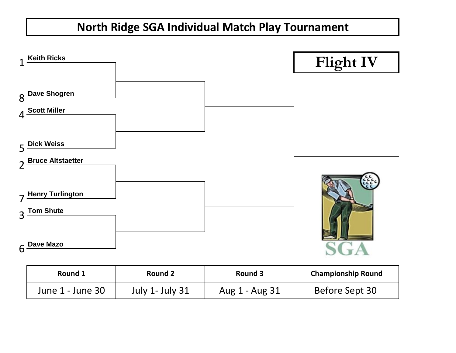

| Round 1          | Round 2         | Round 3        | <b>Championship Round</b> |
|------------------|-----------------|----------------|---------------------------|
| June 1 - June 30 | July 1- July 31 | Aug 1 - Aug 31 | Before Sept 30            |